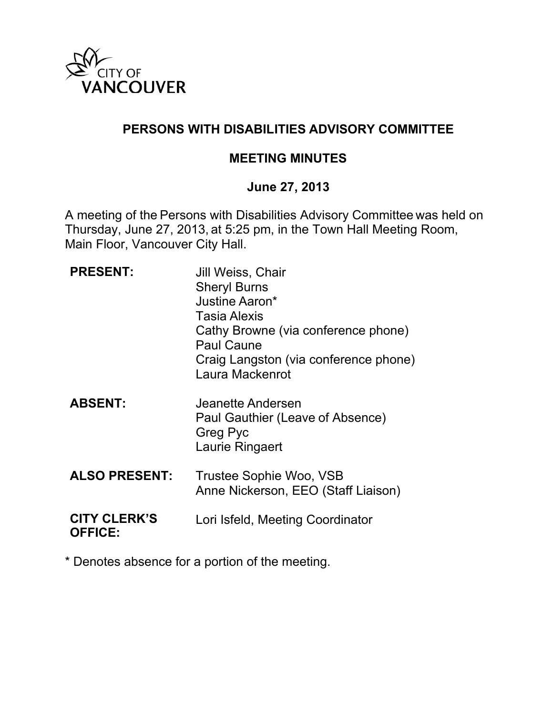

## **PERSONS WITH DISABILITIES ADVISORY COMMITTEE**

#### **MEETING MINUTES**

### **June 27, 2013**

A meeting of the Persons with Disabilities Advisory Committee was held on Thursday, June 27, 2013, at 5:25 pm, in the Town Hall Meeting Room, Main Floor, Vancouver City Hall.

| <b>PRESENT:</b>                       | Jill Weiss, Chair<br><b>Sheryl Burns</b><br>Justine Aaron*<br><b>Tasia Alexis</b><br>Cathy Browne (via conference phone)<br><b>Paul Caune</b><br>Craig Langston (via conference phone)<br>Laura Mackenrot |
|---------------------------------------|-----------------------------------------------------------------------------------------------------------------------------------------------------------------------------------------------------------|
| <b>ABSENT:</b>                        | Jeanette Andersen<br>Paul Gauthier (Leave of Absence)<br><b>Greg Pyc</b><br>Laurie Ringaert                                                                                                               |
| <b>ALSO PRESENT:</b>                  | Trustee Sophie Woo, VSB<br>Anne Nickerson, EEO (Staff Liaison)                                                                                                                                            |
| <b>CITY CLERK'S</b><br><b>OFFICE:</b> | Lori Isfeld, Meeting Coordinator                                                                                                                                                                          |

\* Denotes absence for a portion of the meeting.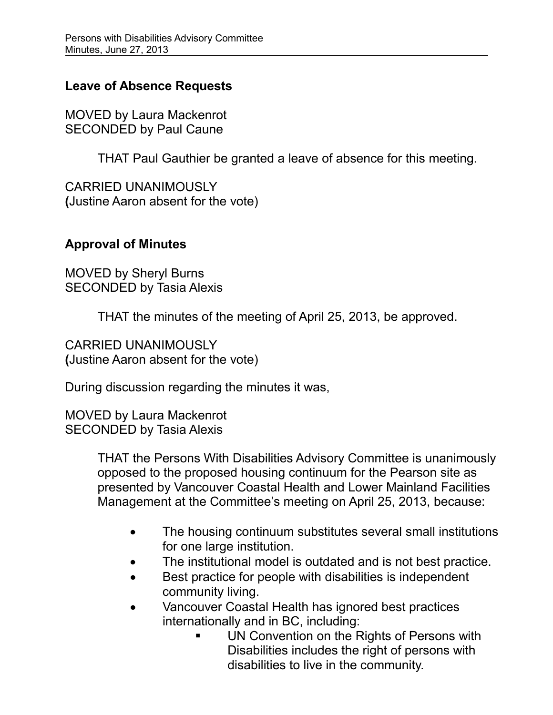## **Leave of Absence Requests**

MOVED by Laura Mackenrot SECONDED by Paul Caune

THAT Paul Gauthier be granted a leave of absence for this meeting.

CARRIED UNANIMOUSLY **(**Justine Aaron absent for the vote)

## **Approval of Minutes**

MOVED by Sheryl Burns SECONDED by Tasia Alexis

THAT the minutes of the meeting of April 25, 2013, be approved.

CARRIED UNANIMOUSLY **(**Justine Aaron absent for the vote)

During discussion regarding the minutes it was,

MOVED by Laura Mackenrot SECONDED by Tasia Alexis

> THAT the Persons With Disabilities Advisory Committee is unanimously opposed to the proposed housing continuum for the Pearson site as presented by Vancouver Coastal Health and Lower Mainland Facilities Management at the Committee's meeting on April 25, 2013, because:

- The housing continuum substitutes several small institutions for one large institution.
- The institutional model is outdated and is not best practice.
- Best practice for people with disabilities is independent community living.
- Vancouver Coastal Health has ignored best practices internationally and in BC, including:
	- UN Convention on the Rights of Persons with Disabilities includes the right of persons with disabilities to live in the community.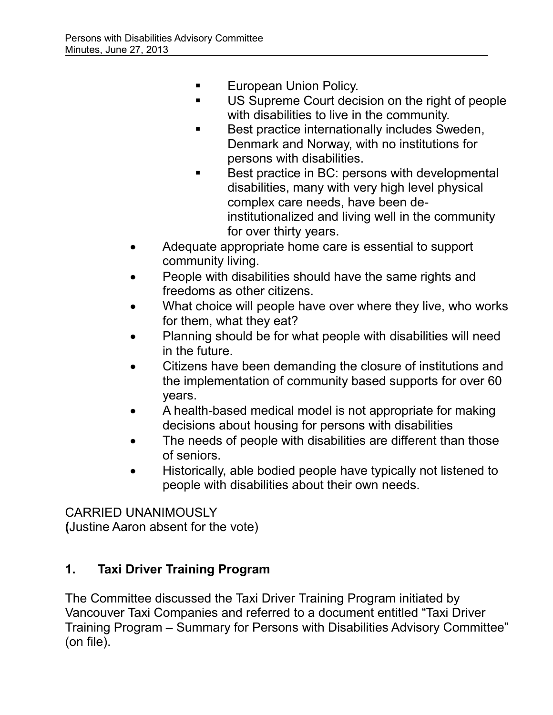- **European Union Policy.**
- US Supreme Court decision on the right of people with disabilities to live in the community.
- Best practice internationally includes Sweden, Denmark and Norway, with no institutions for persons with disabilities.
- Best practice in BC: persons with developmental disabilities, many with very high level physical complex care needs, have been deinstitutionalized and living well in the community for over thirty years.
- Adequate appropriate home care is essential to support community living.
- People with disabilities should have the same rights and freedoms as other citizens.
- What choice will people have over where they live, who works for them, what they eat?
- Planning should be for what people with disabilities will need in the future.
- Citizens have been demanding the closure of institutions and the implementation of community based supports for over 60 years.
- A health-based medical model is not appropriate for making decisions about housing for persons with disabilities
- The needs of people with disabilities are different than those of seniors.
- Historically, able bodied people have typically not listened to people with disabilities about their own needs.

CARRIED UNANIMOUSLY **(**Justine Aaron absent for the vote)

# **1. Taxi Driver Training Program**

The Committee discussed the Taxi Driver Training Program initiated by Vancouver Taxi Companies and referred to a document entitled "Taxi Driver Training Program – Summary for Persons with Disabilities Advisory Committee" (on file).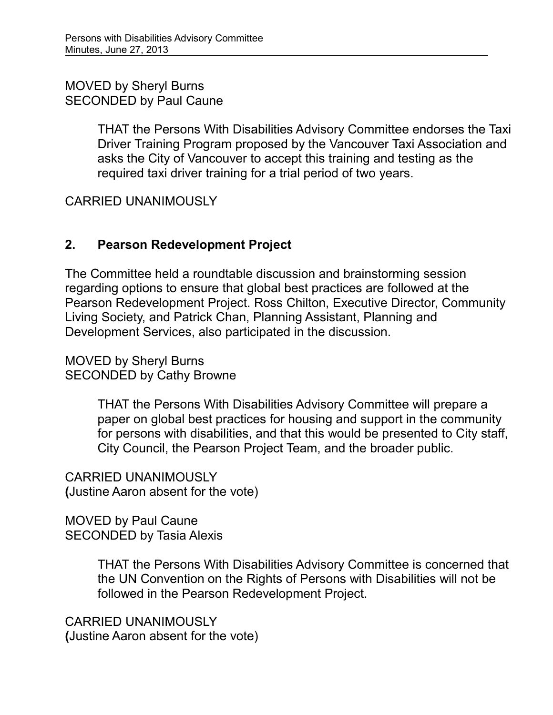MOVED by Sheryl Burns SECONDED by Paul Caune

> THAT the Persons With Disabilities Advisory Committee endorses the Taxi Driver Training Program proposed by the Vancouver Taxi Association and asks the City of Vancouver to accept this training and testing as the required taxi driver training for a trial period of two years.

CARRIED UNANIMOUSLY

## **2. Pearson Redevelopment Project**

The Committee held a roundtable discussion and brainstorming session regarding options to ensure that global best practices are followed at the Pearson Redevelopment Project. Ross Chilton, Executive Director, Community Living Society, and Patrick Chan, Planning Assistant, Planning and Development Services, also participated in the discussion.

MOVED by Sheryl Burns SECONDED by Cathy Browne

> THAT the Persons With Disabilities Advisory Committee will prepare a paper on global best practices for housing and support in the community for persons with disabilities, and that this would be presented to City staff, City Council, the Pearson Project Team, and the broader public.

CARRIED UNANIMOUSLY **(**Justine Aaron absent for the vote)

MOVED by Paul Caune SECONDED by Tasia Alexis

> THAT the Persons With Disabilities Advisory Committee is concerned that the UN Convention on the Rights of Persons with Disabilities will not be followed in the Pearson Redevelopment Project.

CARRIED UNANIMOUSLY **(**Justine Aaron absent for the vote)